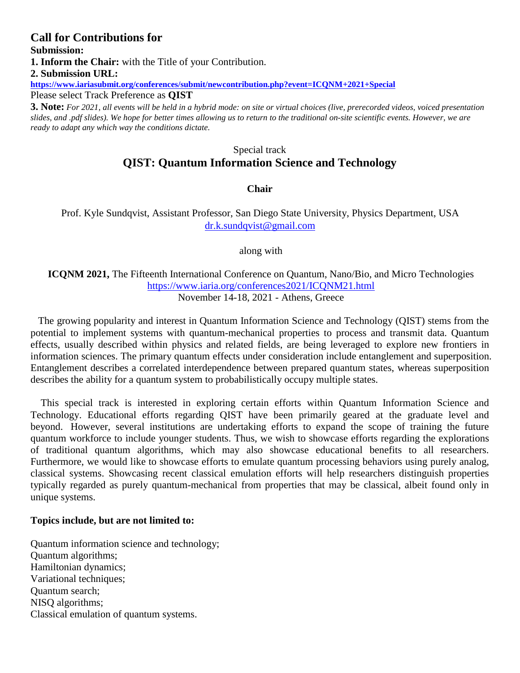# **Call for Contributions for Submission: 1. Inform the Chair:** with the Title of your Contribution. **2. Submission URL: <https://www.iariasubmit.org/conferences/submit/newcontribution.php?event=ICQNM+2021+Special>**

Please select Track Preference as **QIST**

**3. Note:** *For 2021, all events will be held in a hybrid mode: on site or virtual choices (live, prerecorded videos, voiced presentation slides, and .pdf slides). We hope for better times allowing us to return to the traditional on-site scientific events. However, we are ready to adapt any which way the conditions dictate.*

# Special track **QIST: Quantum Information Science and Technology**

### **Chair**

Prof. Kyle Sundqvist, Assistant Professor, San Diego State University, Physics Department, USA [dr.k.sundqvist@gmail.com](mailto:dr.k.sundqvist@gmail.com)

along with

### **ICQNM 2021,** The Fifteenth International Conference on Quantum, Nano/Bio, and Micro Technologies <https://www.iaria.org/conferences2021/ICQNM21.html> November 14-18, 2021 - Athens, Greece

The growing popularity and interest in Quantum Information Science and Technology (QIST) stems from the potential to implement systems with quantum-mechanical properties to process and transmit data. Quantum effects, usually described within physics and related fields, are being leveraged to explore new frontiers in information sciences. The primary quantum effects under consideration include entanglement and superposition. Entanglement describes a correlated interdependence between prepared quantum states, whereas superposition describes the ability for a quantum system to probabilistically occupy multiple states.

This special track is interested in exploring certain efforts within Quantum Information Science and Technology. Educational efforts regarding QIST have been primarily geared at the graduate level and beyond. However, several institutions are undertaking efforts to expand the scope of training the future quantum workforce to include younger students. Thus, we wish to showcase efforts regarding the explorations of traditional quantum algorithms, which may also showcase educational benefits to all researchers. Furthermore, we would like to showcase efforts to emulate quantum processing behaviors using purely analog, classical systems. Showcasing recent classical emulation efforts will help researchers distinguish properties typically regarded as purely quantum-mechanical from properties that may be classical, albeit found only in unique systems.

#### **Topics include, but are not limited to:**

Quantum information science and technology; Quantum algorithms; Hamiltonian dynamics; Variational techniques; Quantum search; NISQ algorithms; Classical emulation of quantum systems.